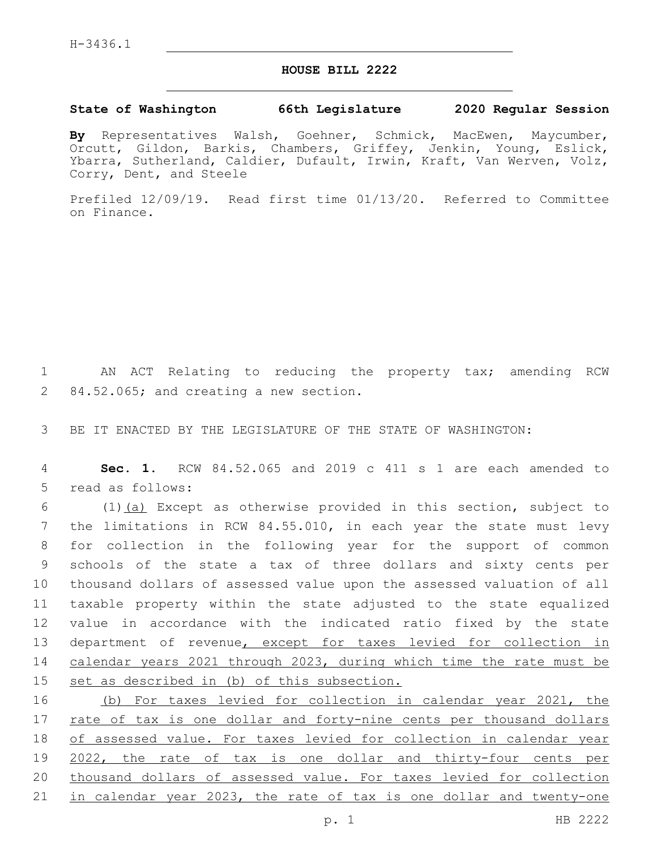## **HOUSE BILL 2222**

## **State of Washington 66th Legislature 2020 Regular Session**

**By** Representatives Walsh, Goehner, Schmick, MacEwen, Maycumber, Orcutt, Gildon, Barkis, Chambers, Griffey, Jenkin, Young, Eslick, Ybarra, Sutherland, Caldier, Dufault, Irwin, Kraft, Van Werven, Volz, Corry, Dent, and Steele

Prefiled 12/09/19. Read first time 01/13/20. Referred to Committee on Finance.

1 AN ACT Relating to reducing the property tax; amending RCW 2 84.52.065; and creating a new section.

3 BE IT ENACTED BY THE LEGISLATURE OF THE STATE OF WASHINGTON:

4 **Sec. 1.** RCW 84.52.065 and 2019 c 411 s 1 are each amended to 5 read as follows:

 $(1)$   $(a)$  Except as otherwise provided in this section, subject to 7 the limitations in RCW 84.55.010, in each year the state must levy for collection in the following year for the support of common schools of the state a tax of three dollars and sixty cents per thousand dollars of assessed value upon the assessed valuation of all taxable property within the state adjusted to the state equalized value in accordance with the indicated ratio fixed by the state department of revenue, except for taxes levied for collection in calendar years 2021 through 2023, during which time the rate must be set as described in (b) of this subsection.

 (b) For taxes levied for collection in calendar year 2021, the 17 rate of tax is one dollar and forty-nine cents per thousand dollars of assessed value. For taxes levied for collection in calendar year 2022, the rate of tax is one dollar and thirty-four cents per thousand dollars of assessed value. For taxes levied for collection 21 in calendar year 2023, the rate of tax is one dollar and twenty-one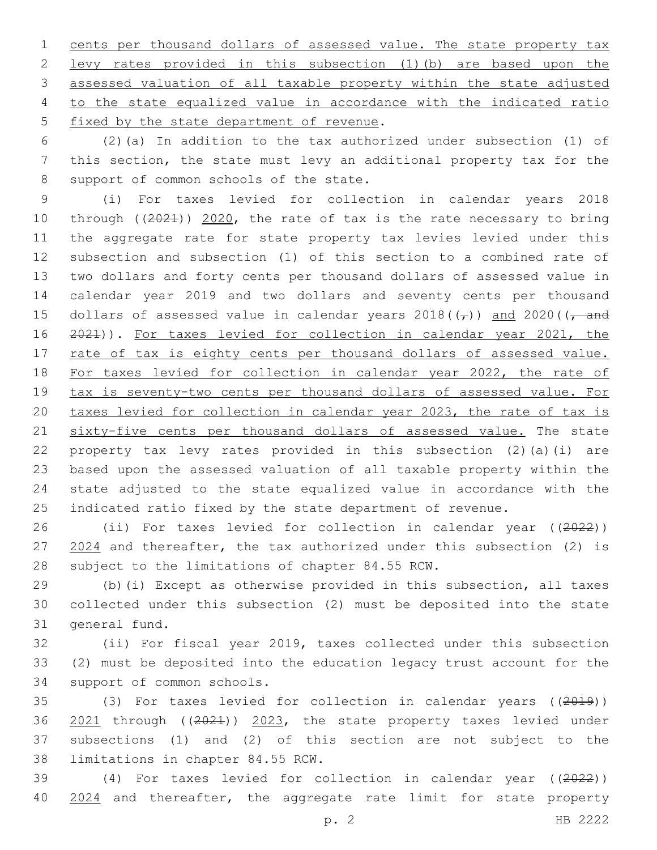cents per thousand dollars of assessed value. The state property tax levy rates provided in this subsection (1)(b) are based upon the assessed valuation of all taxable property within the state adjusted to the state equalized value in accordance with the indicated ratio 5 fixed by the state department of revenue.

 (2)(a) In addition to the tax authorized under subsection (1) of this section, the state must levy an additional property tax for the 8 support of common schools of the state.

 (i) For taxes levied for collection in calendar years 2018 through ((2021)) 2020, the rate of tax is the rate necessary to bring the aggregate rate for state property tax levies levied under this subsection and subsection (1) of this section to a combined rate of two dollars and forty cents per thousand dollars of assessed value in calendar year 2019 and two dollars and seventy cents per thousand 15 dollars of assessed value in calendar years  $2018((\tau))$  and  $2020((\tau)$  and 2021)). For taxes levied for collection in calendar year 2021, the 17 rate of tax is eighty cents per thousand dollars of assessed value. For taxes levied for collection in calendar year 2022, the rate of tax is seventy-two cents per thousand dollars of assessed value. For taxes levied for collection in calendar year 2023, the rate of tax is 21 sixty-five cents per thousand dollars of assessed value. The state property tax levy rates provided in this subsection (2)(a)(i) are based upon the assessed valuation of all taxable property within the state adjusted to the state equalized value in accordance with the indicated ratio fixed by the state department of revenue.

 (ii) For taxes levied for collection in calendar year ((2022)) 27 2024 and thereafter, the tax authorized under this subsection (2) is 28 subject to the limitations of chapter 84.55 RCW.

 (b)(i) Except as otherwise provided in this subsection, all taxes collected under this subsection (2) must be deposited into the state 31 general fund.

 (ii) For fiscal year 2019, taxes collected under this subsection (2) must be deposited into the education legacy trust account for the 34 support of common schools.

 (3) For taxes levied for collection in calendar years ((2019)) 2021 through ((2021)) 2023, the state property taxes levied under subsections (1) and (2) of this section are not subject to the 38 limitations in chapter 84.55 RCW.

 (4) For taxes levied for collection in calendar year ((2022)) 40 2024 and thereafter, the aggregate rate limit for state property

p. 2 HB 2222